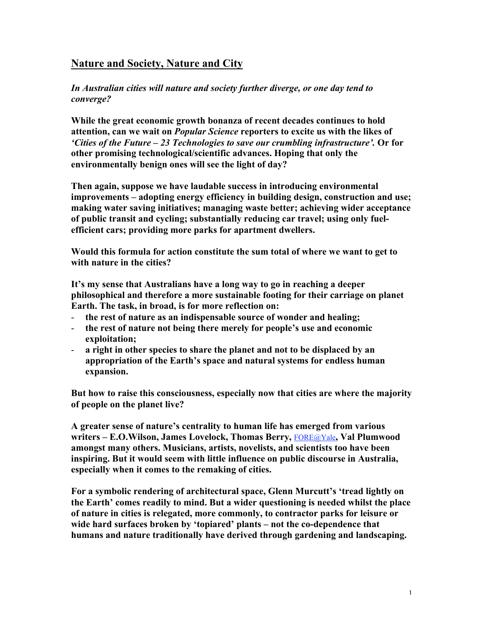## Nature and Society, Nature and City

*In Australian cities will nature and society further diverge, or one day tend to converge?*

While the great economic growth bonanza of recent decades continues to hold attention, can we wait on *Popular Science* reporters to excite us with the likes of *'Cities of the Future – 23 Technologies to save our crumbling infrastructure'.* Or for other promising technological/scientific advances. Hoping that only the environmentally benign ones will see the light of day?

Then again, suppose we have laudable success in introducing environmental improvements – adopting energy efficiency in building design, construction and use; making water saving initiatives; managing waste better; achieving wider acceptance of public transit and cycling; substantially reducing car travel; using only fuelefficient cars; providing more parks for apartment dwellers.

Would this formula for action constitute the sum total of where we want to get to with nature in the cities?

It's my sense that Australians have a long way to go in reaching a deeper philosophical and therefore a more sustainable footing for their carriage on planet Earth. The task, in broad, is for more reflection on:

- the rest of nature as an indispensable source of wonder and healing;
- the rest of nature not being there merely for people's use and economic exploitation;
- a right in other species to share the planet and not to be displaced by an appropriation of the Earth's space and natural systems for endless human expansion.

But how to raise this consciousness, especially now that cities are where the majority of people on the planet live?

A greater sense of nature's centrality to human life has emerged from various writers – E.O.Wilson, James Lovelock, Thomas Berry, FORE@Yale, Val Plumwood amongst many others. Musicians, artists, novelists, and scientists too have been inspiring. But it would seem with little influence on public discourse in Australia, especially when it comes to the remaking of cities.

For a symbolic rendering of architectural space, Glenn Murcutt's 'tread lightly on the Earth' comes readily to mind. But a wider questioning is needed whilst the place of nature in cities is relegated, more commonly, to contractor parks for leisure or wide hard surfaces broken by 'topiared' plants – not the co-dependence that humans and nature traditionally have derived through gardening and landscaping.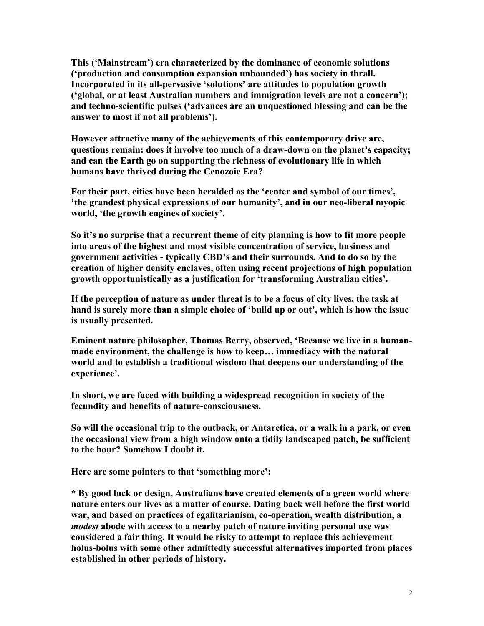This ('Mainstream') era characterized by the dominance of economic solutions ('production and consumption expansion unbounded') has society in thrall. Incorporated in its all-pervasive 'solutions' are attitudes to population growth ('global, or at least Australian numbers and immigration levels are not a concern'); and techno-scientific pulses ('advances are an unquestioned blessing and can be the answer to most if not all problems').

However attractive many of the achievements of this contemporary drive are, questions remain: does it involve too much of a draw-down on the planet's capacity; and can the Earth go on supporting the richness of evolutionary life in which humans have thrived during the Cenozoic Era?

For their part, cities have been heralded as the 'center and symbol of our times', 'the grandest physical expressions of our humanity', and in our neo-liberal myopic world, 'the growth engines of society'.

So it's no surprise that a recurrent theme of city planning is how to fit more people into areas of the highest and most visible concentration of service, business and government activities - typically CBD's and their surrounds. And to do so by the creation of higher density enclaves, often using recent projections of high population growth opportunistically as a justification for 'transforming Australian cities'.

If the perception of nature as under threat is to be a focus of city lives, the task at hand is surely more than a simple choice of 'build up or out', which is how the issue is usually presented.

Eminent nature philosopher, Thomas Berry, observed, 'Because we live in a humanmade environment, the challenge is how to keep… immediacy with the natural world and to establish a traditional wisdom that deepens our understanding of the experience'.

In short, we are faced with building a widespread recognition in society of the fecundity and benefits of nature-consciousness.

So will the occasional trip to the outback, or Antarctica, or a walk in a park, or even the occasional view from a high window onto a tidily landscaped patch, be sufficient to the hour? Somehow I doubt it.

Here are some pointers to that 'something more':

\* By good luck or design, Australians have created elements of a green world where nature enters our lives as a matter of course. Dating back well before the first world war, and based on practices of egalitarianism, co-operation, wealth distribution, a *modest* abode with access to a nearby patch of nature inviting personal use was considered a fair thing. It would be risky to attempt to replace this achievement holus-bolus with some other admittedly successful alternatives imported from places established in other periods of history.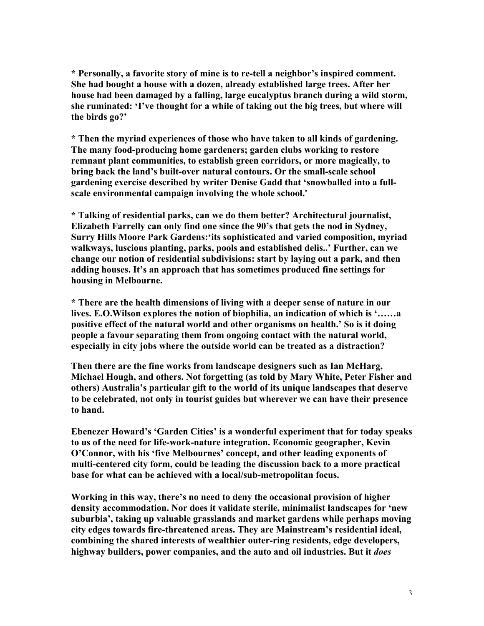\* Personally, a favorite story of mine is to re-tell a neighbor's inspired comment. She had bought a house with a dozen, already established large trees. After her house had been damaged by a falling, large eucalyptus branch during a wild storm, she ruminated: 'I've thought for a while of taking out the big trees, but where will the birds go?'

\* Then the myriad experiences of those who have taken to all kinds of gardening. The many food-producing home gardeners; garden clubs working to restore remnant plant communities, to establish green corridors, or more magically, to bring back the land's built-over natural contours. Or the small-scale school gardening exercise described by writer Denise Gadd that 'snowballed into a fullscale environmental campaign involving the whole school.'

\* Talking of residential parks, can we do them better? Architectural journalist, Elizabeth Farrelly can only find one since the 90's that gets the nod in Sydney, Surry Hills Moore Park Gardens:'its sophisticated and varied composition, myriad walkways, luscious planting, parks, pools and established delis..' Further, can we change our notion of residential subdivisions: start by laying out a park, and then adding houses. It's an approach that has sometimes produced fine settings for housing in Melbourne.

\* There are the health dimensions of living with a deeper sense of nature in our lives. E.O.Wilson explores the notion of biophilia, an indication of which is '……a positive effect of the natural world and other organisms on health.' So is it doing people a favour separating them from ongoing contact with the natural world, especially in city jobs where the outside world can be treated as a distraction?

Then there are the fine works from landscape designers such as Ian McHarg, Michael Hough, and others. Not forgetting (as told by Mary White, Peter Fisher and others) Australia's particular gift to the world of its unique landscapes that deserve to be celebrated, not only in tourist guides but wherever we can have their presence to hand.

Ebenezer Howard's 'Garden Cities' is a wonderful experiment that for today speaks to us of the need for life-work-nature integration. Economic geographer, Kevin O'Connor, with his 'five Melbournes' concept, and other leading exponents of multi-centered city form, could be leading the discussion back to a more practical base for what can be achieved with a local/sub-metropolitan focus.

Working in this way, there's no need to deny the occasional provision of higher density accommodation. Nor does it validate sterile, minimalist landscapes for 'new suburbia', taking up valuable grasslands and market gardens while perhaps moving city edges towards fire-threatened areas. They are Mainstream's residential ideal, combining the shared interests of wealthier outer-ring residents, edge developers, highway builders, power companies, and the auto and oil industries. But it *does*